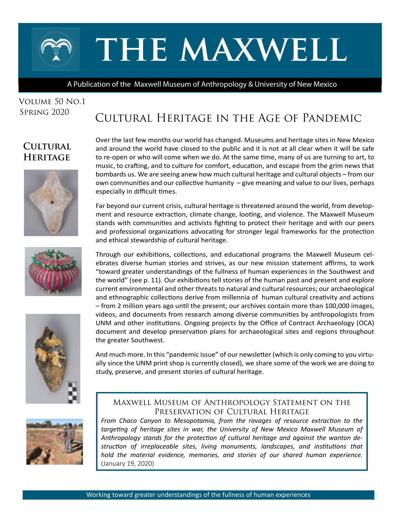# **the maxwell**

A Publication of the Maxwell Museum of Anthropology & University of New Mexico

#### Volume 50 No.1 Spring 2020

# Cultural Heritage in the Age of Pandemic

## **Cultural Heritage**







Over the last few months our world has changed. Museums and heritage sites in New Mexico and around the world have closed to the public and it is not at all clear when it will be safe to re-open or who will come when we do. At the same time, many of us are turning to art, to music, to crafting, and to culture for comfort, education, and escape from the grim news that bombards us. We are seeing anew how much cultural heritage and cultural objects – from our own communities and our collective humanity – give meaning and value to our lives, perhaps especially in difficult times.

Far beyond our current crisis, cultural heritage is threatened around the world, from development and resource extraction, climate change, looting, and violence. The Maxwell Museum stands with communities and activists fighting to protect their heritage and with our peers and professional organizations advocating for stronger legal frameworks for the protection and ethical stewardship of cultural heritage.

Through our exhibitions, collections, and educational programs the Maxwell Museum celebrates diverse human stories and strives, as our new mission statement affirms, to work "toward greater understandings of the fullness of human experiences in the Southwest and the world" (see p. 11). Our exhibitions tell stories of the human past and present and explore current environmental and other threats to natural and cultural resources; our archaeological and ethnographic collections derive from millennia of human cultural creativity and actions – from 2 million years ago until the present; our archives contain more than 100,000 images, videos, and documents from research among diverse communities by anthropologists from UNM and other institutions. Ongoing projects by the Office of Contract Archaeology (OCA) document and develop preservation plans for archaeological sites and regions throughout the greater Southwest.

And much more. In this "pandemic issue" of our newsletter (which is only coming to you virtually since the UNM print shop is currently closed), we share some of the work we are doing to study, preserve, and present stories of cultural heritage.



#### Maxwell Museum of Anthropology Statement on the Preservation of Cultural Heritage

*From Chaco Canyon to Mesopotamia, from the ravages of resource extraction to the targeting of heritage sites in war, the University of New Mexico Maxwell Museum of Anthropology stands for the protection of cultural heritage and against the wanton destruction of irreplaceable sites, living monuments, landscapes, and institutions that hold the material evidence, memories, and stories of our shared human experience.*  (January 19, 2020)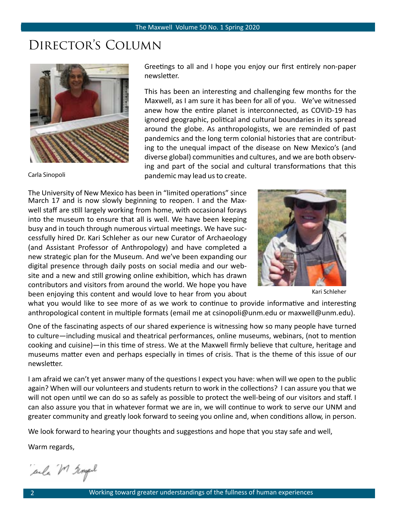# Director's Column



Carla Sinopoli

Greetings to all and I hope you enjoy our first entirely non-paper newsletter.

This has been an interesting and challenging few months for the Maxwell, as I am sure it has been for all of you. We've witnessed anew how the entire planet is interconnected, as COVID-19 has ignored geographic, political and cultural boundaries in its spread around the globe. As anthropologists, we are reminded of past pandemics and the long term colonial histories that are contributing to the unequal impact of the disease on New Mexico's (and diverse global) communities and cultures, and we are both observing and part of the social and cultural transformations that this pandemic may lead us to create.

The University of New Mexico has been in "limited operations" since March 17 and is now slowly beginning to reopen. I and the Maxwell staff are still largely working from home, with occasional forays into the museum to ensure that all is well. We have been keeping busy and in touch through numerous virtual meetings. We have successfully hired Dr. Kari Schleher as our new Curator of Archaeology (and Assistant Professor of Anthropology) and have completed a new strategic plan for the Museum. And we've been expanding our digital presence through daily posts on social media and our website and a new and still growing online exhibition, which has drawn contributors and visitors from around the world. We hope you have been enjoying this content and would love to hear from you about



Kari Schleher

what you would like to see more of as we work to continue to provide informative and interesting anthropological content in multiple formats (email me at csinopoli@unm.edu or maxwell@unm.edu).

One of the fascinating aspects of our shared experience is witnessing how so many people have turned to culture—including musical and theatrical performances, online museums, webinars, (not to mention cooking and cuisine)—in this time of stress. We at the Maxwell firmly believe that culture, heritage and museums matter even and perhaps especially in times of crisis. That is the theme of this issue of our newsletter.

I am afraid we can't yet answer many of the questions I expect you have: when will we open to the public again? When will our volunteers and students return to work in the collections? I can assure you that we will not open until we can do so as safely as possible to protect the well-being of our visitors and staff. I can also assure you that in whatever format we are in, we will continue to work to serve our UNM and greater community and greatly look forward to seeing you online and, when conditions allow, in person.

We look forward to hearing your thoughts and suggestions and hope that you stay safe and well,

Warm regards,

ale M Templ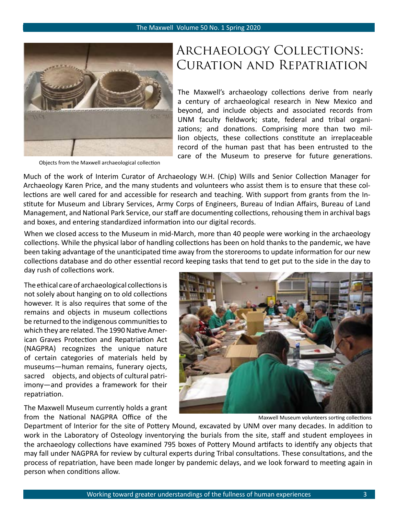

Objects from the Maxwell archaeological collection

# Archaeology Collections: Curation and Repatriation

The Maxwell's archaeology collections derive from nearly a century of archaeological research in New Mexico and beyond, and include objects and associated records from UNM faculty fieldwork; state, federal and tribal organizations; and donations. Comprising more than two million objects, these collections constitute an irreplaceable record of the human past that has been entrusted to the care of the Museum to preserve for future generations.

[Much of the work of Interim Curator of Archa](https://maxwellmuseum.unm.edu/collections/archaeology)eology W.H. (Chip) Wills and Senior Collection Manager for Archaeology Karen Price, and the many students and volunteers who assist them is to ensure that these collections are well cared for and accessible for research and teaching. With support from grants from the Institute for Museum and Library Services, Army Corps of Engineers, Bureau of Indian Affairs, Bureau of Land Management, and National Park Service, our staff are documenting collections, rehousing them in archival bags and boxes, and entering standardized information into our digital records.

When we closed access to the Museum in mid-March, more than 40 people were working in the archaeology collections. While the physical labor of handling collections has been on hold thanks to the pandemic, we have been taking advantage of the unanticipated time away from the storerooms to update information for our new collections database and do other essential record keeping tasks that tend to get put to the side in the day to day rush of collections work.

The ethical care of archaeological collections is not solely about hanging on to old collections however. It is also requires that some of the remains and objects in museum collections be returned to the indigenous communities to which they are related. The 1990 Native American Graves Protection and Repatriation Act (NAGPRA) recognizes the unique nature of certain categories of materials held by museums―human remains, funerary ojects, sacred objects, and objects of cultural patriimony―and provides a framework for their repatriation.

The Maxwell Museum currently holds a grant from the National NAGPRA Office of the



Maxwell Museum volunteers sorting collections

Department of Interior for the site of Pottery Mound, excavated by UNM over many decades. In addition to work in the Laboratory of Osteology inventorying the burials from the site, staff and student employees in the archaeology collections have examined 795 boxes of Pottery Mound artifacts to identify any objects that may fall under NAGPRA for review by cultural experts during Tribal consultations. These consultations, and the process of repatriation, have been made longer by pandemic delays, and we look forward to meeting again in person when conditions allow.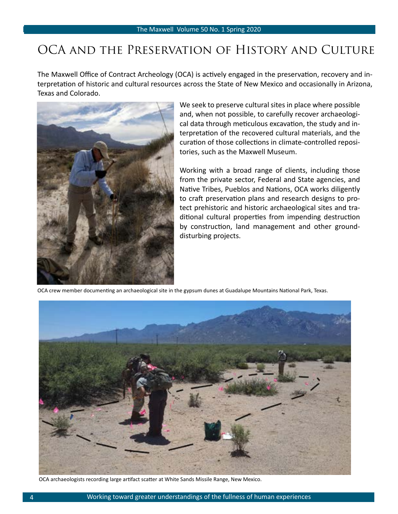# OCA and the Preservation of History and Culture

The Maxwell Office of Contract Archeology (OCA) is actively engaged in the preservation, recovery and interpretation of historic and cultural resources across the State of New Mexico and occasionally in Arizona, Texas and Colorado.



We seek to preserve cultural sites in place where possible and, when not possible, to carefully recover archaeological data through meticulous excavation, the study and interpretation of the recovered cultural materials, and the curation of those collections in climate-controlled repositories, such as the Maxwell Museum.

Working with a broad range of clients, including those from the private sector, Federal and State agencies, and Native Tribes, Pueblos and Nations, OCA works diligently to craft preservation plans and research designs to protect prehistoric and historic archaeological sites and traditional cultural properties from impending destruction by construction, land management and other grounddisturbing projects.

OCA crew member documenting an archaeological site in the gypsum dunes at Guadalupe Mountains National Park, Texas.



OCA archaeologists recording large artifact scatter at White Sands Missile Range, New Mexico.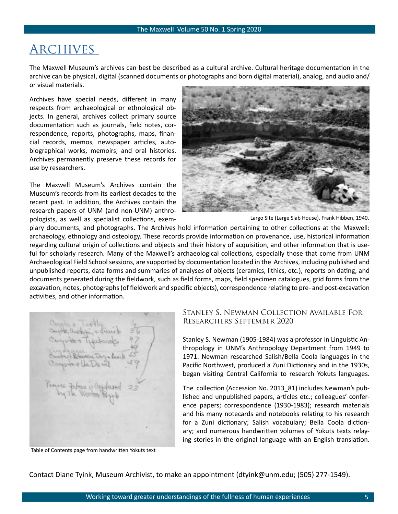## **ARCHIVES**

The Maxwell Museum's archives can best be described as a cultural archive. Cultural heritage documentation in the archive can be physical, digital (scanned documents or photographs and born digital material), analog, and audio and/ or visual materials.

Archives have special needs, different in many respects from archaeological or ethnological objects. In general, archives collect primary source documentation such as journals, field notes, correspondence, reports, photographs, maps, financial records, memos, newspaper articles, autobiographical works, memoirs, and oral histories. Archives permanently preserve these records for use by researchers.

The Maxwell Museum's Archives contain the Museum's records from its earliest decades to the recent past. In addition, the Archives contain the research papers of UNM (and non-UNM) anthropologists, as well as specialist collections, exem-



Largo Site (Large Slab House), Frank Hibben, 1940.

plary documents, and photographs. The Archives hold information pertaining to other collections at the Maxwell: archaeology, ethnology and osteology. These records provide information on provenance, use, historical information regarding cultural origin of collections and objects and their history of acquisition, and other information that is useful for scholarly research. Many of the Maxwell's archaeological collections, especially those that come from UNM Archaeological Field School sessions, are supported by documentation located in the Archives, including published and unpublished reports, data forms and summaries of analyses of objects (ceramics, lithics, etc.), reports on dating, and documents generated during the fieldwork, such as field forms, maps, field specimen catalogues, grid forms from the excavation, notes, photographs (of fieldwork and specific objects), correspondence relating to pre- and post-excavation activities, and other information.

Prairie Febru is Coppleses

Table of Contents page from handwritten Yokuts text

#### Stanley S. Newman Collection Available For Researchers September 2020

Stanley S. Newman (1905-1984) was a professor in Linguistic Anthropology in UNM's Anthropology Department from 1949 to 1971. Newman researched Salish/Bella Coola languages in the Pacific Northwest, produced a Zuni Dictionary and in the 1930s, began visiting Central California to research Yokuts languages.

The collection (Accession No. 2013\_81) includes Newman's published and unpublished papers, articles etc.; colleagues' conference papers; correspondence (1930-1983); research materials and his many notecards and notebooks relating to his research for a Zuni dictionary; Salish vocabulary; Bella Coola dictionary; and numerous handwritten volumes of Yokuts texts relaying stories in the original language with an English translation.

Contact Diane Tyink, Museum Archivist, to make an appointment (dtyink@unm.edu; (505) 277-1549).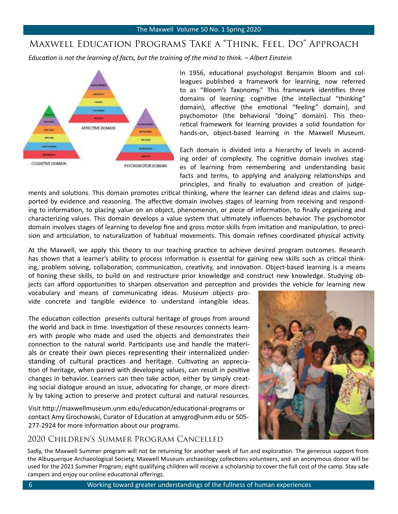#### Maxwell [Education ProgramS Take a "Think, Feel, Do" Approach](http://https://maxwellmuseum.unm.edu/education/)

*Education is not the learning of facts, but the training of the mind to think. – Albert Einstein*



In 1956, educational psychologist Benjamin Bloom and colleagues published a framework for learning, now referred to as "Bloom's Taxonomy." This framework identifies three domains of learning: cognitive (the intellectual "thinking" domain), affective (the emotional "feeling" domain), and psychomotor (the behavioral "doing" domain). This theoretical framework for learning provides a solid foundation for hands-on, object-based learning in the Maxwell Museum.

Each domain is divided into a hierarchy of levels in ascending order of complexity. The cognitive domain involves stages of learning from remembering and understanding basic facts and terms, to applying and analyzing relationships and principles, and finally to evaluation and creation of judge-

ments and solutions. This domain promotes critical thinking, where the learner can defend ideas and claims supported by evidence and reasoning. The affective domain involves stages of learning from receiving and responding to information, to placing value on an object, phenomenon, or piece of information, to finally organizing and characterizing values. This domain develops a value system that ultimately influences behavior. The psychomotor domain involves stages of learning to develop fine and gross motor skills from imitation and manipulation, to precision and articulation, to naturalization of habitual movements. This domain refines coordinated physical activity.

At the Maxwell, we apply this theory to our teaching practice to achieve desired program outcomes. Research has shown that a learner's ability to process information is essential for gaining new skills such as critical thinking, problem solving, collaboration, communication, creativity, and innovation. Object-based learning is a means of honing these skills, to build on and restructure prior knowledge and construct new knowledge. Studying objects can afford opportunities to sharpen observation and perception and provides the vehicle for learning new

vocabulary and means of communicating ideas. Museum objects provide concrete and tangible evidence to understand intangible ideas.

The education collection presents cultural heritage of groups from around the world and back in time. Investigation of these resources connects learners with people who made and used the objects and demonstrates their connection to the natural world. Participants use and handle the materials or create their own pieces representing their internalized understanding of cultural practices and heritage. Cultivating an appreciation of heritage, when paired with developing values, can result in positive changes in behavior. Learners can then take action, either by simply creating social dialogue around an issue, advocating for change, or more directly by taking action to preserve and protect cultural and natural resources.

Visit http://maxwellmuseum.unm.edu/education/educational-programs or contact Amy Grochowski, Curator of Education at amygro@unm.edu or 505- 277-2924 for more information about our programs.

#### 2020 Children's Summer Program Cancelled



Sadly, the Maxwell Summer program will not be returning for another week of fun and exploration. The generous support from the Albuquerque Archaeological Society, Maxwell Museum archaeology collections volunteers, and an anonymous donor will be used for the 2021 Summer Program; eight qualifying children will receive a scholarship to cover the full cost of the camp. Stay safe campers and enjoy our online educational offerings.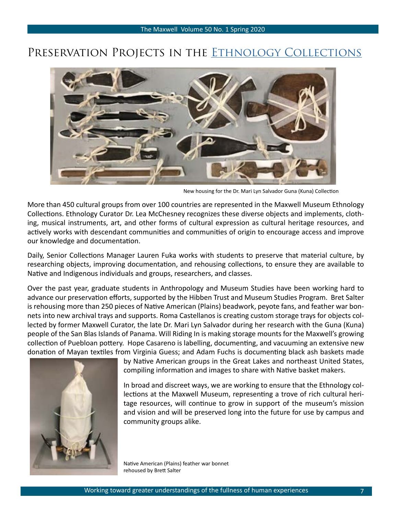### PRESERVATION PROJECTS IN THE ETHNOLOGY COLLECTIONS



New housing for the Dr. Mari Lyn Salvador Guna (Kuna) Collection

More than 450 cultural groups from over 100 countries are represented in the Maxwell Museum Ethnology Collections. Ethnology Curator Dr. Lea McChesney recognizes these diverse objects and implements, clothing, musical instruments, art, and other forms of cultural expression as cultural heritage resources, and actively works with descendant communities and communities of origin to encourage access and improve our knowledge and documentation.

Daily, Senior Collections Manager Lauren Fuka works with students to preserve that material culture, by researching objects, improving documentation, and rehousing collections, to ensure they are available to Native and Indigenous individuals and groups, researchers, and classes.

Over the past year, graduate students in Anthropology and Museum Studies have been working hard to advance our preservation efforts, supported by the Hibben Trust and Museum Studies Program. Bret Salter is rehousing more than 250 pieces of Native American (Plains) beadwork, peyote fans, and feather war bonnets into new archival trays and supports. Roma Castellanos is creating custom storage trays for objects collected by former Maxwell Curator, the late Dr. Mari Lyn Salvador during her research with the Guna (Kuna) people of the San Blas Islands of Panama. Will Riding In is making storage mounts for the Maxwell's growing collection of Puebloan pottery. Hope Casareno is labelling, documenting, and vacuuming an extensive new donation of Mayan textiles from Virginia Guess; and Adam Fuchs is documenting black ash baskets made



by Native American groups in the Great Lakes and northeast United States, compiling information and images to share with Native basket makers.

In broad and discreet ways, we are working to ensure that the Ethnology collections at the Maxwell Museum, representing a trove of rich cultural heritage resources, will continue to grow in support of the museum's mission and vision and will be preserved long into the future for use by campus and community groups alike.

Native American (Plains) feather war bonnet rehoused by Brett Salter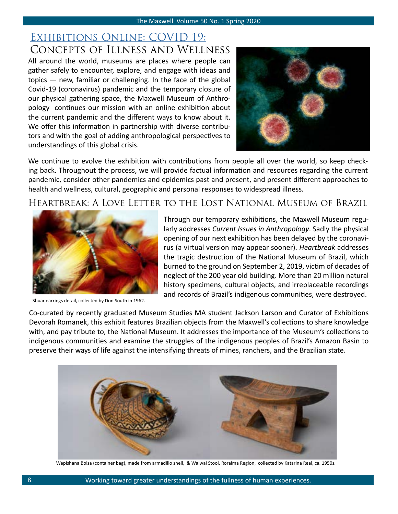#### EXHIBITIONS ONLINE: COVID 19: Concepts of Illness and Wellness

All around the world, museums are places where people can gather safely to encounter, explore, and engage with ideas and topics — new, familiar or challenging. In the face of the global Covid-19 (coronavirus) pandemic and the temporary closure of our physical gathering space, the Maxwell Museum of Anthropology continues our mission with an online exhibition about the current pandemic and the different ways to know about it. We offer this information in partnership with diverse contributors and with the goal of adding anthropological perspectives to understandings of this global crisis.



We continue to evolve the exhibition with contributions from people all over the world, so keep checking back. Throughout the process, we will provide factual information and resources regarding the current pandemic, consider other pandemics and epidemics past and present, and present different approaches to health and wellness, cultural, geographic and personal responses to widespread illness.

Heartbreak: A Love Letter to the Lost National Museum of Brazil



Shuar earrings detail, collected by Don South in 1962.

Through our temporary exhibitions, the Maxwell Museum regularly addresses *Current Issues in Anthropology*. Sadly the physical opening of our next exhibition has been delayed by the coronavirus (a virtual version may appear sooner). *Heartbreak* addresses the tragic destruction of the National Museum of Brazil, which burned to the ground on September 2, 2019, victim of decades of neglect of the 200 year old building. More than 20 million natural history specimens, cultural objects, and irreplaceable recordings and records of Brazil's indigenous communities, were destroyed.

Co-curated by recently graduated Museum Studies MA student Jackson Larson and Curator of Exhibitions Devorah Romanek, this exhibit features Brazilian objects from the Maxwell's collections to share knowledge with, and pay tribute to, the National Museum. It addresses the importance of the Museum's collections to indigenous communities and examine the struggles of the indigenous peoples of Brazil's Amazon Basin to preserve their ways of life against the intensifying threats of mines, ranchers, and the Brazilian state.



Wapishana Bolsa (container bag), made from armadillo shell, & Waiwai Stool, Roraima Region, collected by Katarina Real, ca. 1950s.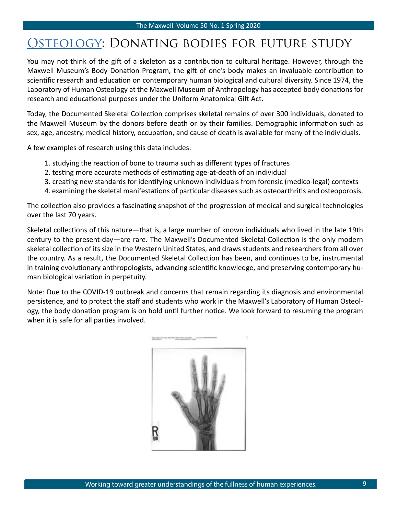# OSTEOLOGY: DONATING BODIES FOR FUTURE STUDY

You may not think of the gift of a skeleton as a contribution to cultural heritage. However, through the Maxwell Museum's Body Donation Program, the gift of one's body makes an invaluable contribution to scientific research and education on contemporary human biological and cultural diversity. Since 1974, the Laboratory of Human Osteology at the Maxwell Museum of Anthropology has accepted body donations for research and educational purposes under the Uniform Anatomical Gift Act.

Today, the Documented Skeletal Collection comprises skeletal remains of over 300 individuals, donated to the Maxwell Museum by the donors before death or by their families. Demographic information such as sex, age, ancestry, medical history, occupation, and cause of death is available for many of the individuals.

A few examples of research using this data includes:

- 1. studying the reaction of bone to trauma such as different types of fractures
- 2. testing more accurate methods of estimating age-at-death of an individual
- 3. creating new standards for identifying unknown individuals from forensic (medico-legal) contexts
- 4. examining the skeletal manifestations of particular diseases such as osteoarthritis and osteoporosis.

The collection also provides a fascinating snapshot of the progression of medical and surgical technologies over the last 70 years.

Skeletal collections of this nature—that is, a large number of known individuals who lived in the late 19th century to the present-day—are rare. The Maxwell's Documented Skeletal Collection is the only modern skeletal collection of its size in the Western United States, and draws students and researchers from all over the country. As a result, the Documented Skeletal Collection has been, and continues to be, instrumental in training evolutionary anthropologists, advancing scientific knowledge, and preserving contemporary human biological variation in perpetuity.

Note: Due to the COVID-19 outbreak and concerns that remain regarding its diagnosis and environmental persistence, and to protect the staff and students who work in the Maxwell's Laboratory of Human Osteology, the body donation program is on hold until further notice. We look forward to resuming the program when it is safe for all parties involved.

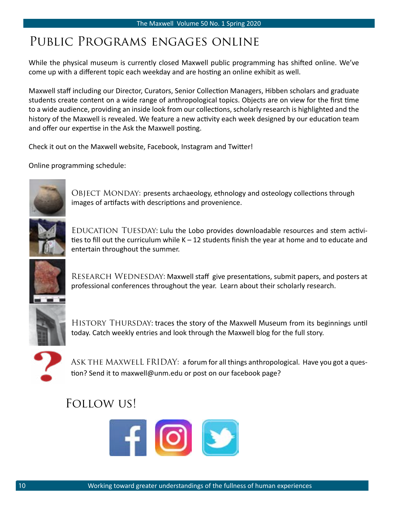# Public Programs engages online

While the physical museum is currently closed Maxwell public programming has shifted online. We've come up with a different topic each weekday and are hosting an online exhibit as well.

Maxwell staff including our Director, Curators, Senior Collection Managers, Hibben scholars and graduate students create content on a wide range of anthropological topics. Objects are on view for the first time to a wide audience, providing an inside look from our collections, scholarly research is highlighted and the history of the Maxwell is revealed. We feature a new activity each week designed by our education team and offer our expertise in the Ask the Maxwell posting.

Check it out on the Maxwell website, Facebook, Instagram and Twitter!

Online programming schedule:



Object Monday: presents archaeology, ethnology and osteology collections through images of artifacts with descriptions and provenience.



Education Tuesday: Lulu the Lobo provides downloadable resources and stem activities to fill out the curriculum while  $K - 12$  students finish the year at home and to educate and entertain throughout the summer.



RESEARCH WEDNESDAY: Maxwell staff give presentations, submit papers, and posters at professional conferences throughout the year. Learn about their scholarly research.



HISTORY THURSDAY: traces the story of the Maxwell Museum from its beginnings until today. Catch weekly entries and look through the Maxwell blog for the full story.



ASK THE MAXWELL FRIDAY: a forum for all things anthropological. Have you got a question? Send it to maxwell@unm.edu or post on our facebook page?

# Follow us!

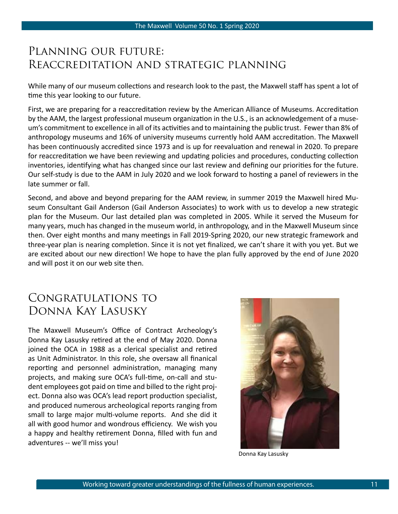## Planning our future: Reaccreditation and strategic planning

While many of our museum collections and research look to the past, the Maxwell staff has spent a lot of time this year looking to our future.

First, we are preparing for a reaccreditation review by the American Alliance of Museums. Accreditation by the AAM, the largest professional museum organization in the U.S., is an acknowledgement of a museum's commitment to excellence in all of its activities and to maintaining the public trust. Fewer than 8% of anthropology museums and 16% of university museums currently hold AAM accreditation. The Maxwell has been continuously accredited since 1973 and is up for reevaluation and renewal in 2020. To prepare for reaccreditation we have been reviewing and updating policies and procedures, conducting collection inventories, identifying what has changed since our last review and defining our priorities for the future. Our self-study is due to the AAM in July 2020 and we look forward to hosting a panel of reviewers in the late summer or fall.

Second, and above and beyond preparing for the AAM review, in summer 2019 the Maxwell hired Museum Consultant Gail Anderson (Gail Anderson Associates) to work with us to develop a new strategic plan for the Museum. Our last detailed plan was completed in 2005. While it served the Museum for many years, much has changed in the museum world, in anthropology, and in the Maxwell Museum since then. Over eight months and many meetings in Fall 2019-Spring 2020, our new strategic framework and three-year plan is nearing completion. Since it is not yet finalized, we can't share it with you yet. But we are excited about our new direction! We hope to have the plan fully approved by the end of June 2020 and will post it on our web site then.

## Congratulations to Donna Kay Lasusky

The Maxwell Museum's Office of Contract Archeology's Donna Kay Lasusky retired at the end of May 2020. Donna joined the OCA in 1988 as a clerical specialist and retired as Unit Administrator. In this role, she oversaw all finanical reporting and personnel administration, managing many projects, and making sure OCA's full-time, on-call and student employees got paid on time and billed to the right project. Donna also was OCA's lead report production specialist, and produced numerous archeological reports ranging from small to large major multi-volume reports. And she did it all with good humor and wondrous efficiency. We wish you a happy and healthy retirement Donna, filled with fun and adventures -- we'll miss you!



Donna Kay Lasusky